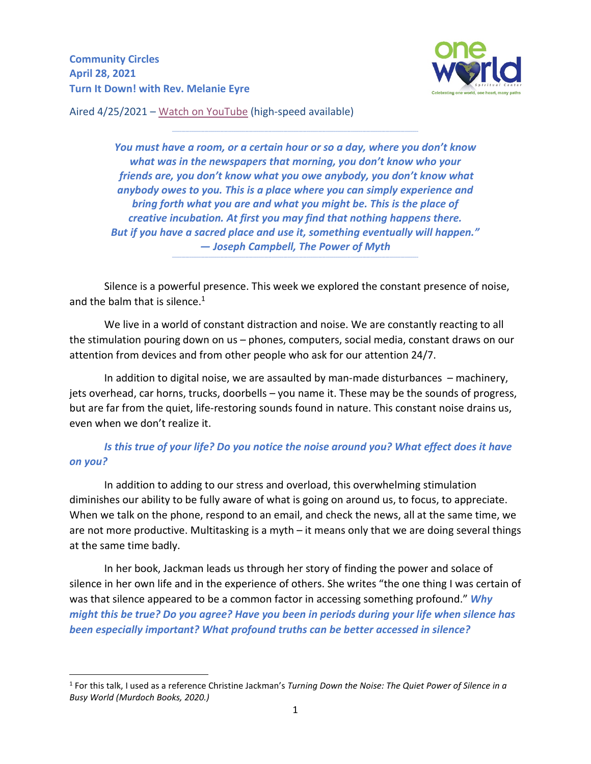**Community Circles April 28, 2021 Turn It Down! with Rev. Melanie Eyre**



Aired 4/25/2021 – [Watch on YouTube](https://youtu.be/0t0GoH2TP40) (high-speed available)

*You must have a room, or a certain hour or so a day, where you don't know what was in the newspapers that morning, you don't know who your friends are, you don't know what you owe anybody, you don't know what anybody owes to you. This is a place where you can simply experience and bring forth what you are and what you might be. This is the place of creative incubation. At first you may find that nothing happens there. But if you have a sacred place and use it, something eventually will happen." ― Joseph Campbell, The Power of Myth*

 $\mathcal{L} = \{ \mathcal{L} = \{ \mathcal{L} = \{ \mathcal{L} = \{ \mathcal{L} = \{ \mathcal{L} = \{ \mathcal{L} = \{ \mathcal{L} = \{ \mathcal{L} = \{ \mathcal{L} = \{ \mathcal{L} = \{ \mathcal{L} = \{ \mathcal{L} = \{ \mathcal{L} = \{ \mathcal{L} = \{ \mathcal{L} = \{ \mathcal{L} = \{ \mathcal{L} = \{ \mathcal{L} = \{ \mathcal{L} = \{ \mathcal{L} = \{ \mathcal{L} = \{ \mathcal{L} = \{ \mathcal{L} = \{ \mathcal{$ 

Silence is a powerful presence. This week we explored the constant presence of noise, and the balm that is silence. $1$ 

**\_\_\_\_\_\_\_\_\_\_\_\_\_\_\_\_\_\_\_\_\_\_\_\_\_\_\_\_\_\_\_\_\_\_\_\_\_\_\_\_\_\_\_\_\_\_\_\_\_\_\_\_\_\_\_\_\_\_\_\_\_\_\_\_\_\_\_\_\_\_\_\_\_\_\_\_\_\_\_\_\_\_\_\_\_\_\_\_\_\_\_\_\_\_\_\_\_\_\_\_\_\_\_\_\_\_\_\_\_\_\_\_\_\_\_\_\_\_\_\_\_\_\_\_\_\_\_\_** 

We live in a world of constant distraction and noise. We are constantly reacting to all the stimulation pouring down on us – phones, computers, social media, constant draws on our attention from devices and from other people who ask for our attention 24/7.

In addition to digital noise, we are assaulted by man-made disturbances – machinery, jets overhead, car horns, trucks, doorbells – you name it. These may be the sounds of progress, but are far from the quiet, life-restoring sounds found in nature. This constant noise drains us, even when we don't realize it.

*Is this true of your life? Do you notice the noise around you? What effect does it have on you?* 

In addition to adding to our stress and overload, this overwhelming stimulation diminishes our ability to be fully aware of what is going on around us, to focus, to appreciate. When we talk on the phone, respond to an email, and check the news, all at the same time, we are not more productive. Multitasking is a myth – it means only that we are doing several things at the same time badly.

In her book, Jackman leads us through her story of finding the power and solace of silence in her own life and in the experience of others. She writes "the one thing I was certain of was that silence appeared to be a common factor in accessing something profound." *Why might this be true? Do you agree? Have you been in periods during your life when silence has been especially important? What profound truths can be better accessed in silence?* 

<sup>1</sup> For this talk, I used as a reference Christine Jackman's *Turning Down the Noise: The Quiet Power of Silence in a Busy World (Murdoch Books, 2020.)*